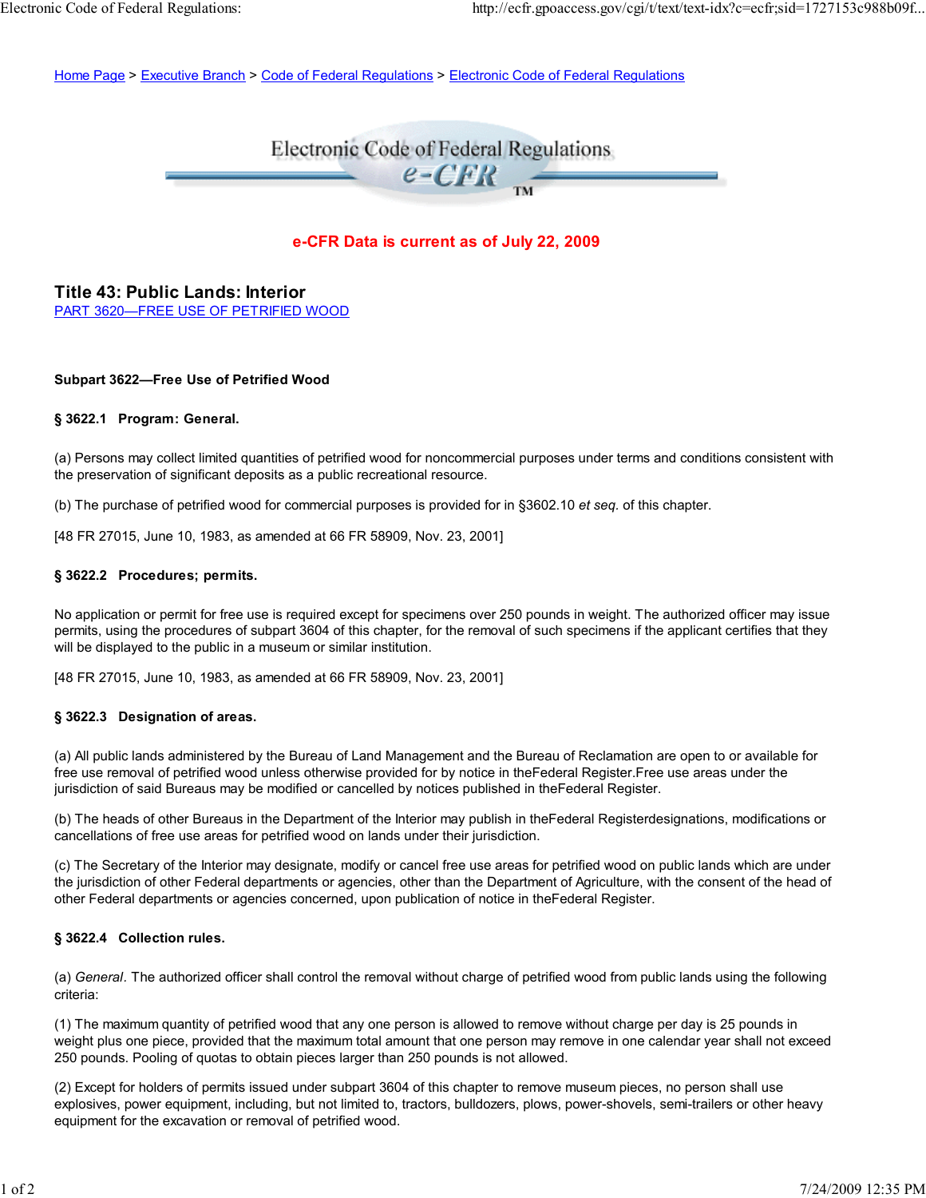Home Page > Executive Branch > Code of Federal Regulations > Electronic Code of Federal Regulations

# Electronic Code of Federal Regulations  $e$ -CFR

# **e-CFR Data is current as of July 22, 2009**

**Title 43: Public Lands: Interior** PART 3620—FREE USE OF PETRIFIED WOOD

#### **Subpart 3622—Free Use of Petrified Wood**

#### **§ 3622.1 Program: General.**

(a) Persons may collect limited quantities of petrified wood for noncommercial purposes under terms and conditions consistent with the preservation of significant deposits as a public recreational resource.

(b) The purchase of petrified wood for commercial purposes is provided for in §3602.10 *et seq.* of this chapter.

[48 FR 27015, June 10, 1983, as amended at 66 FR 58909, Nov. 23, 2001]

## **§ 3622.2 Procedures; permits.**

No application or permit for free use is required except for specimens over 250 pounds in weight. The authorized officer may issue permits, using the procedures of subpart 3604 of this chapter, for the removal of such specimens if the applicant certifies that they will be displayed to the public in a museum or similar institution.

[48 FR 27015, June 10, 1983, as amended at 66 FR 58909, Nov. 23, 2001]

#### **§ 3622.3 Designation of areas.**

(a) All public lands administered by the Bureau of Land Management and the Bureau of Reclamation are open to or available for free use removal of petrified wood unless otherwise provided for by notice in theFederal Register.Free use areas under the jurisdiction of said Bureaus may be modified or cancelled by notices published in theFederal Register.

(b) The heads of other Bureaus in the Department of the Interior may publish in theFederal Registerdesignations, modifications or cancellations of free use areas for petrified wood on lands under their jurisdiction.

(c) The Secretary of the Interior may designate, modify or cancel free use areas for petrified wood on public lands which are under the jurisdiction of other Federal departments or agencies, other than the Department of Agriculture, with the consent of the head of other Federal departments or agencies concerned, upon publication of notice in theFederal Register.

## **§ 3622.4 Collection rules.**

(a) *General.* The authorized officer shall control the removal without charge of petrified wood from public lands using the following criteria:

(1) The maximum quantity of petrified wood that any one person is allowed to remove without charge per day is 25 pounds in weight plus one piece, provided that the maximum total amount that one person may remove in one calendar year shall not exceed 250 pounds. Pooling of quotas to obtain pieces larger than 250 pounds is not allowed.

(2) Except for holders of permits issued under subpart 3604 of this chapter to remove museum pieces, no person shall use explosives, power equipment, including, but not limited to, tractors, bulldozers, plows, power-shovels, semi-trailers or other heavy equipment for the excavation or removal of petrified wood.